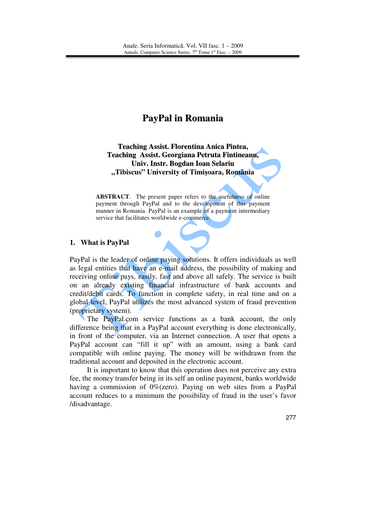# **PayPal in Romania**

**Teaching Assist. Florentina Anica Pintea, Teaching Assist. Georgiana Petruta Fintineanu, Univ. Instr. Bogdan Ioan Selariu "Tibiscus" University of Timi**ş**oara, România** 

**ABSTRACT**. The present paper refers to the usefulness of online payment through PayPal and to the development of this payment manner in Romania. PayPal is an example of a payment intermediary service that facilitates worldwide e-commerce.

### **1. What is PayPal**

PayPal is the leader of online paying solutions. It offers individuals as well as legal entities that have an e-mail address, the possibility of making and receiving online pays, easily, fast and above all safely. The service is built on an already existing financial infrastructure of bank accounts and credit/debit cards. To function in complete safety, in real time and on a global level, PayPal utilizes the most advanced system of fraud prevention (proprietary system).

The PayPal.com service functions as a bank account, the only difference being that in a PayPal account everything is done electronically, in front of the computer, via an Internet connection. A user that opens a PayPal account can "fill it up" with an amount, using a bank card compatible with online paying. The money will be withdrawn from the traditional account and deposited in the electronic account.

It is important to know that this operation does not perceive any extra fee, the money transfer being in its self an online payment, banks worldwide having a commission of 0%(zero). Paying on web sites from a PayPal account reduces to a minimum the possibility of fraud in the user's favor /disadvantage.

277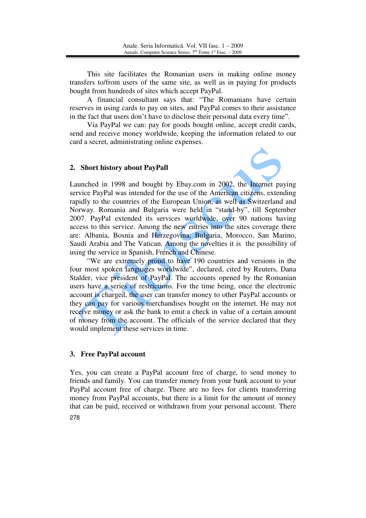This site facilitates the Romanian users in making online money transfers to/from users of the same site, as well as in paying for products bought from hundreds of sites which accept PayPal.

A financial consultant says that: "The Romanians have certain reserves in using cards to pay on sites, and PayPal comes to their assistance in the fact that users don't have to disclose their personal data every time".

Via PayPal we can: pay for goods bought online, accept credit cards, send and receive money worldwide, keeping the information related to our card a secret, administrating online expenses.

### **2. Short history about PayPall**



Launched in 1998 and bought by Ebay.com in 2002, the Internet paying service PayPal was intended for the use of the American citizens, extending rapidly to the countries of the European Union, as well as Switzerland and Norway. Romania and Bulgaria were held in "stand-by", till September 2007. PayPal extended its services worldwide, over 90 nations having access to this service. Among the new entries into the sites coverage there are: Albania, Bosnia and Herzegovina, Bulgaria, Morocco, San Marino, Saudi Arabia and The Vatican. Among the novelties it is the possibility of using the service in Spanish, French and Chinese.

"We are extremely proud to have 190 countries and versions in the four most spoken languages worldwide", declared, cited by Reuters, Dana Stalder, vice president of PayPal. The accounts opened by the Romanian users have a series of restrictions. For the time being, once the electronic account is charged, the user can transfer money to other PayPal accounts or they can pay for various merchandises bought on the internet. He may not receive money or ask the bank to emit a check in value of a certain amount of money from the account. The officials of the service declared that they would implement these services in time.

### **3. Free PayPal account**

278 Yes, you can create a PayPal account free of charge, to send money to friends and family. You can transfer money from your bank account to your PayPal account free of charge. There are no fees for clients transferring money from PayPal accounts, but there is a limit for the amount of money that can be paid, received or withdrawn from your personal account. There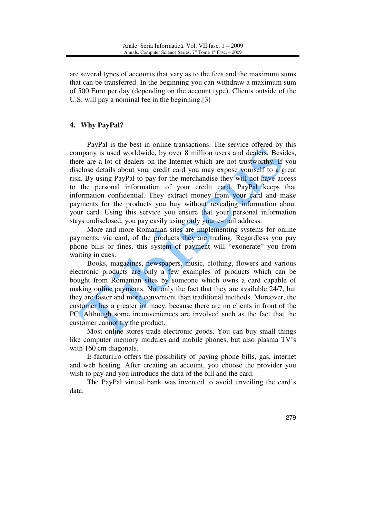are several types of accounts that vary as to the fees and the maximum sums that can be transferred. In the beginning you can withdraw a maximum sum of 500 Euro per day (depending on the account type). Clients outside of the U.S. will pay a nominal fee in the beginning.[3]

#### **4. Why PayPal?**

PayPal is the best in online transactions. The service offered by this company is used worldwide, by over 8 million users and dealers. Besides, there are a lot of dealers on the Internet which are not trustworthy. If you disclose details about your credit card you may expose yourself to a great risk. By using PayPal to pay for the merchandise they will not have access to the personal information of your credit card. PayPal keeps that information confidential. They extract money from your card and make payments for the products you buy without revealing information about your card. Using this service you ensure that your personal information stays undisclosed, you pay easily using only your e-mail address.

More and more Romanian sites are implementing systems for online payments, via card, of the products they are trading. Regardless you pay phone bills or fines, this system of payment will "exonerate" you from waiting in cues.

Books, magazines, newspapers, music, clothing, flowers and various electronic products are only a few examples of products which can be bought from Romanian sites by someone which owns a card capable of making online payments. Not only the fact that they are available 24/7, but they are faster and more convenient than traditional methods. Moreover, the customer has a greater intimacy, because there are no clients in front of the PC. Although some inconveniences are involved such as the fact that the customer cannot try the product.

Most online stores trade electronic goods. You can buy small things like computer memory modules and mobile phones, but also plasma TV's with 160 cm diagonals.

E-facturi.ro offers the possibility of paying phone bills, gas, internet and web hosting. After creating an account, you choose the provider you wish to pay and you introduce the data of the bill and the card.

The PayPal virtual bank was invented to avoid unveiling the card's data.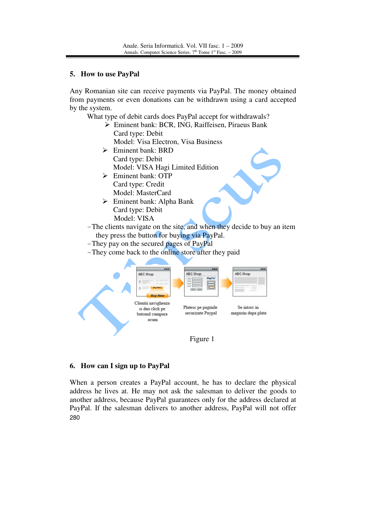## **5. How to use PayPal**

Any Romanian site can receive payments via PayPal. The money obtained from payments or even donations can be withdrawn using a card accepted by the system.

What type of debit cards does PayPal accept for withdrawals?

- Eminent bank: BCR, ING, Raiffeisen, Piraeus Bank Card type: Debit
	- Model: Visa Electron, Visa Business
- $\triangleright$  Eminent bank: BRD Card type: Debit Model: VISA Hagi Limited Edition
- > Eminent bank: OTP Card type: Credit Model: MasterCard
- Eminent bank: Alpha Bank Card type: Debit Model: VISA
- -The clients navigate on the site, and when they decide to buy an item they press the button for buying via PayPal.
- -They pay on the secured pages of PayPal
- -They come back to the online store after they paid



## Figure 1

# **6. How can I sign up to PayPal**

280 When a person creates a PayPal account, he has to declare the physical address he lives at. He may not ask the salesman to deliver the goods to another address, because PayPal guarantees only for the address declared at PayPal. If the salesman delivers to another address, PayPal will not offer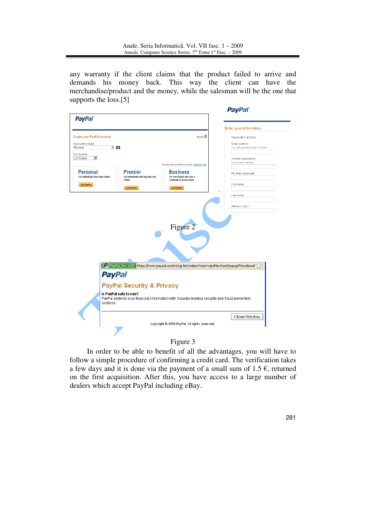any warranty if the client claims that the product failed to arrive and demands his money back. This way the client can have the merchandise/product and the money, while the salesman will be the one that supports the loss.[5]



## Figure 3

In order to be able to benefit of all the advantages, you will have to follow a simple procedure of confirming a credit card. The verification takes a few days and it is done via the payment of a small sum of 1.5  $\epsilon$ , returned on the first acquisition. After this, you have access to a large number of dealers which accept PayPal including eBay.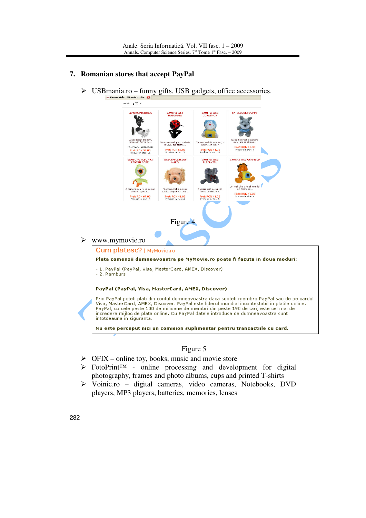### **7. Romanian stores that accept PayPal**



### Figure 5

- $\triangleright$  OFIX online toy, books, music and movie store
- FotoPrint™ online processing and development for digital photography, frames and photo albums, cups and printed T-shirts
- Voinic.ro digital cameras, video cameras, Notebooks, DVD players, MP3 players, batteries, memories, lenses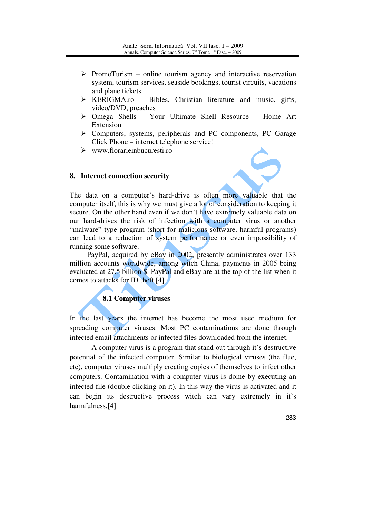- $\triangleright$  PromoTurism online tourism agency and interactive reservation system, tourism services, seaside bookings, tourist circuits, vacations and plane tickets
- $\triangleright$  KERIGMA.ro Bibles, Christian literature and music, gifts, video/DVD, preaches
- Omega Shells Your Ultimate Shell Resource Home Art Extension
- $\triangleright$  Computers, systems, peripherals and PC components, PC Garage Click Phone – internet telephone service!
- $\triangleright$  www.florarieinbucuresti.ro

#### **8. Internet connection security**



The data on a computer's hard-drive is often more valuable that the computer itself, this is why we must give a lot of consideration to keeping it secure. On the other hand even if we don't have extremely valuable data on our hard-drives the risk of infection with a computer virus or another "malware" type program (short for malicious software, harmful programs) can lead to a reduction of system performance or even impossibility of running some software.

PayPal, acquired by eBay in 2002, presently administrates over 133 million accounts worldwide, among witch China, payments in 2005 being evaluated at 27.5 billion \$. PayPal and eBay are at the top of the list when it comes to attacks for ID theft.[4]

# **8.1 Computer viruses**

In the last years the internet has become the most used medium for spreading computer viruses. Most PC contaminations are done through infected email attachments or infected files downloaded from the internet.

A computer virus is a program that stand out through it's destructive potential of the infected computer. Similar to biological viruses (the flue, etc), computer viruses multiply creating copies of themselves to infect other computers. Contamination with a computer virus is dome by executing an infected file (double clicking on it). In this way the virus is activated and it can begin its destructive process witch can vary extremely in it's harmfulness.[4]